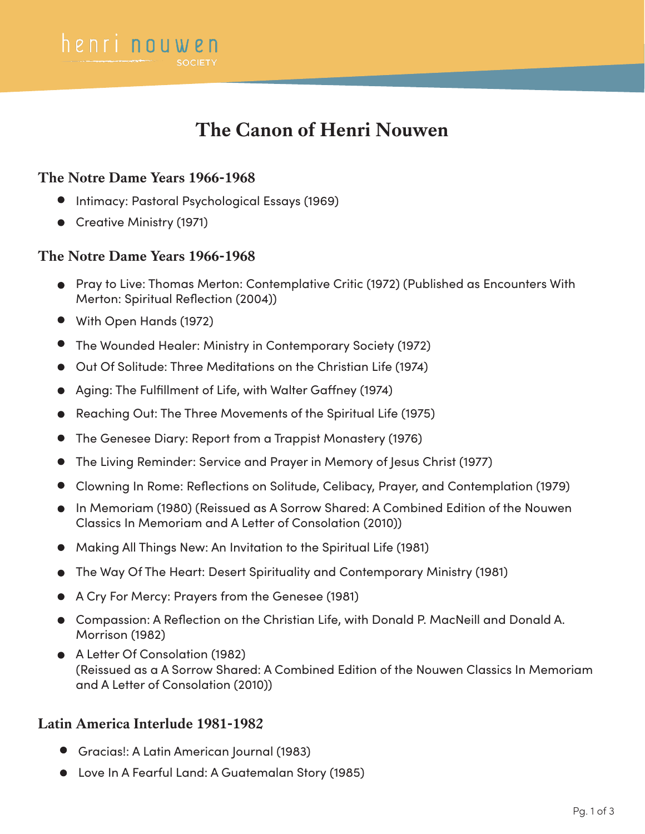# **The Canon of Henri Nouwen**

#### **The Notre Dame Years 1966-1968**

henri nouwen

- Intimacy: Pastoral Psychological Essays (1969)
- **Creative Ministry (1971)**

#### **The Notre Dame Years 1966-1968**

- Pray to Live: Thomas Merton: Contemplative Critic (1972) (Published as Encounters With Merton: Spiritual Reflection (2004))
- With Open Hands (1972)
- The Wounded Healer: Ministry in Contemporary Society (1972)
- Out Of Solitude: Three Meditations on the Christian Life (1974)
- Aging: The Fulfillment of Life, with Walter Gaffney (1974)
- Reaching Out: The Three Movements of the Spiritual Life (1975)
- The Genesee Diary: Report from a Trappist Monastery (1976)
- The Living Reminder: Service and Prayer in Memory of Jesus Christ (1977)
- Clowning In Rome: Reflections on Solitude, Celibacy, Prayer, and Contemplation (1979)
- In Memoriam (1980) (Reissued as A Sorrow Shared: A Combined Edition of the Nouwen Classics In Memoriam and A Letter of Consolation (2010))
- Making All Things New: An Invitation to the Spiritual Life (1981)
- The Way Of The Heart: Desert Spirituality and Contemporary Ministry (1981)
- A Cry For Mercy: Prayers from the Genesee (1981)
- Compassion: A Reflection on the Christian Life, with Donald P. MacNeill and Donald A. Morrison (1982)
- A Letter Of Consolation (1982) (Reissued as a A Sorrow Shared: A Combined Edition of the Nouwen Classics In Memoriam and A Letter of Consolation (2010))

#### **Latin America Interlude 1981-1982**

- Gracias!: A Latin American Journal (1983)
- Love In A Fearful Land: A Guatemalan Story (1985)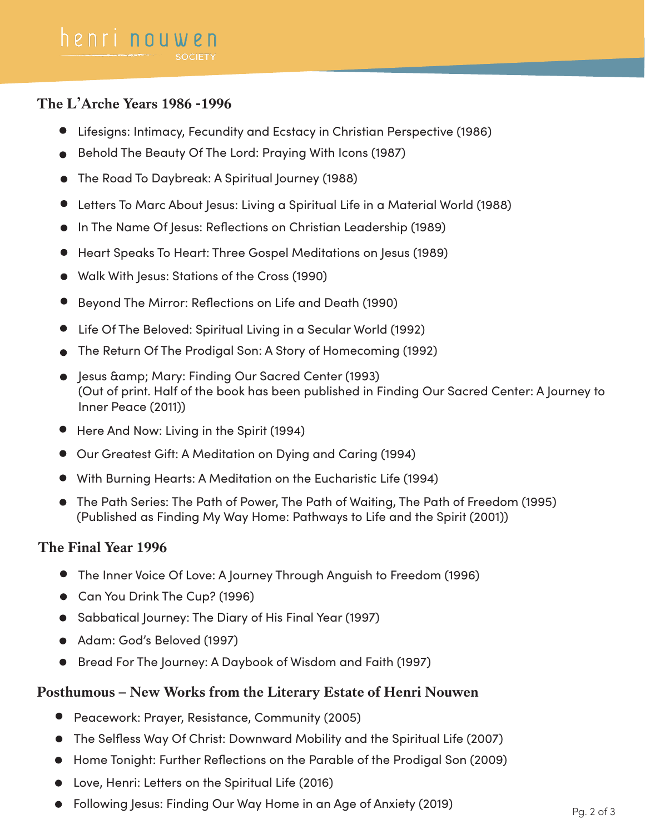## **The L'Arche Years 1986 -1996**

- Lifesigns: Intimacy, Fecundity and Ecstacy in Christian Perspective (1986)
- Behold The Beauty Of The Lord: Praying With Icons (1987)
- The Road To Daybreak: A Spiritual Journey (1988)
- Letters To Marc About Jesus: Living a Spiritual Life in a Material World (1988)
- In The Name Of Jesus: Reflections on Christian Leadership (1989)
- Heart Speaks To Heart: Three Gospel Meditations on Jesus (1989)
- Walk With Jesus: Stations of the Cross (1990)
- Beyond The Mirror: Reflections on Life and Death (1990)
- Life Of The Beloved: Spiritual Living in a Secular World (1992)
- The Return Of The Prodigal Son: A Story of Homecoming (1992)
- **•** Jesus & amp; Mary: Finding Our Sacred Center (1993) (Out of print. Half of the book has been published in Finding Our Sacred Center: A Journey to Inner Peace (2011))
- Here And Now: Living in the Spirit (1994)
- Our Greatest Gift: A Meditation on Dying and Caring (1994)
- With Burning Hearts: A Meditation on the Eucharistic Life (1994)
- The Path Series: The Path of Power, The Path of Waiting, The Path of Freedom (1995) (Published as Finding My Way Home: Pathways to Life and the Spirit (2001))

## **The Final Year 1996**

- The Inner Voice Of Love: A Journey Through Anguish to Freedom (1996)
- Can You Drink The Cup? (1996)
- Sabbatical Journey: The Diary of His Final Year (1997)
- Adam: God's Beloved (1997)
- Bread For The Journey: A Daybook of Wisdom and Faith (1997)

# **Posthumous – New Works from the Literary Estate of Henri Nouwen**

- $\bullet$ Peacework: Prayer, Resistance, Community (2005)
- The Selfless Way Of Christ: Downward Mobility and the Spiritual Life (2007)  $\bullet$
- Home Tonight: Further Reflections on the Parable of the Prodigal Son (2009)  $\bullet$
- Love, Henri: Letters on the Spiritual Life (2016)
- Following Jesus: Finding Our Way Home in an Age of Anxiety (2019)  $Pg. 2 of 3$